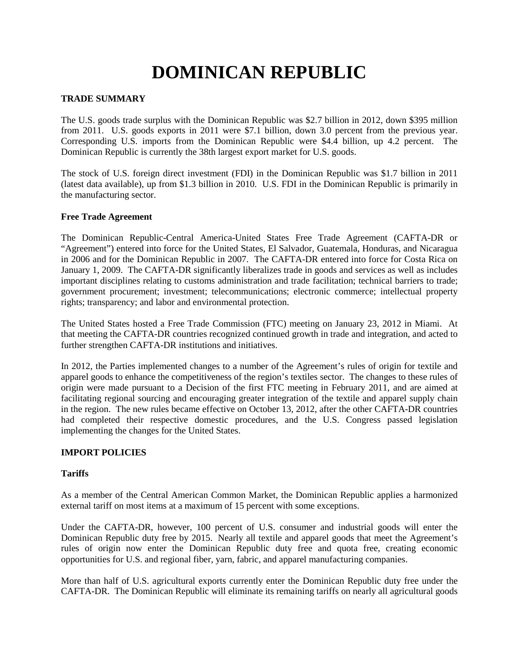# **DOMINICAN REPUBLIC**

# **TRADE SUMMARY**

The U.S. goods trade surplus with the Dominican Republic was \$2.7 billion in 2012, down \$395 million from 2011. U.S. goods exports in 2011 were \$7.1 billion, down 3.0 percent from the previous year. Corresponding U.S. imports from the Dominican Republic were \$4.4 billion, up 4.2 percent. The Dominican Republic is currently the 38th largest export market for U.S. goods.

The stock of U.S. foreign direct investment (FDI) in the Dominican Republic was \$1.7 billion in 2011 (latest data available), up from \$1.3 billion in 2010. U.S. FDI in the Dominican Republic is primarily in the manufacturing sector.

#### **Free Trade Agreement**

The Dominican Republic-Central America-United States Free Trade Agreement (CAFTA-DR or "Agreement") entered into force for the United States, El Salvador, Guatemala, Honduras, and Nicaragua in 2006 and for the Dominican Republic in 2007. The CAFTA-DR entered into force for Costa Rica on January 1, 2009. The CAFTA-DR significantly liberalizes trade in goods and services as well as includes important disciplines relating to customs administration and trade facilitation; technical barriers to trade; government procurement; investment; telecommunications; electronic commerce; intellectual property rights; transparency; and labor and environmental protection.

The United States hosted a Free Trade Commission (FTC) meeting on January 23, 2012 in Miami. At that meeting the CAFTA-DR countries recognized continued growth in trade and integration, and acted to further strengthen CAFTA-DR institutions and initiatives.

In 2012, the Parties implemented changes to a number of the Agreement's rules of origin for textile and apparel goods to enhance the competitiveness of the region's textiles sector. The changes to these rules of origin were made pursuant to a Decision of the first FTC meeting in February 2011, and are aimed at facilitating regional sourcing and encouraging greater integration of the textile and apparel supply chain in the region. The new rules became effective on October 13, 2012, after the other CAFTA-DR countries had completed their respective domestic procedures, and the U.S. Congress passed legislation implementing the changes for the United States.

# **IMPORT POLICIES**

#### **Tariffs**

As a member of the Central American Common Market, the Dominican Republic applies a harmonized external tariff on most items at a maximum of 15 percent with some exceptions.

Under the CAFTA-DR, however, 100 percent of U.S. consumer and industrial goods will enter the Dominican Republic duty free by 2015. Nearly all textile and apparel goods that meet the Agreement's rules of origin now enter the Dominican Republic duty free and quota free, creating economic opportunities for U.S. and regional fiber, yarn, fabric, and apparel manufacturing companies.

More than half of U.S. agricultural exports currently enter the Dominican Republic duty free under the CAFTA-DR. The Dominican Republic will eliminate its remaining tariffs on nearly all agricultural goods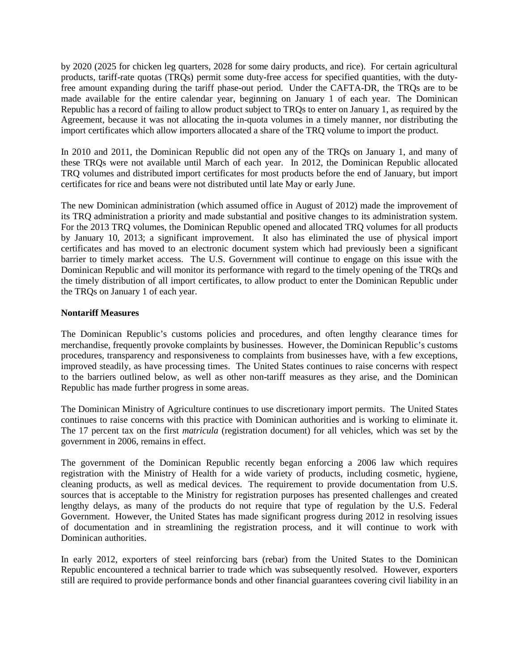by 2020 (2025 for chicken leg quarters, 2028 for some dairy products, and rice). For certain agricultural products, tariff-rate quotas (TRQs) permit some duty-free access for specified quantities, with the dutyfree amount expanding during the tariff phase-out period. Under the CAFTA-DR, the TRQs are to be made available for the entire calendar year, beginning on January 1 of each year. The Dominican Republic has a record of failing to allow product subject to TRQs to enter on January 1, as required by the Agreement, because it was not allocating the in-quota volumes in a timely manner, nor distributing the import certificates which allow importers allocated a share of the TRQ volume to import the product.

In 2010 and 2011, the Dominican Republic did not open any of the TRQs on January 1, and many of these TRQs were not available until March of each year. In 2012, the Dominican Republic allocated TRQ volumes and distributed import certificates for most products before the end of January, but import certificates for rice and beans were not distributed until late May or early June.

The new Dominican administration (which assumed office in August of 2012) made the improvement of its TRQ administration a priority and made substantial and positive changes to its administration system. For the 2013 TRQ volumes, the Dominican Republic opened and allocated TRQ volumes for all products by January 10, 2013; a significant improvement. It also has eliminated the use of physical import certificates and has moved to an electronic document system which had previously been a significant barrier to timely market access. The U.S. Government will continue to engage on this issue with the Dominican Republic and will monitor its performance with regard to the timely opening of the TRQs and the timely distribution of all import certificates, to allow product to enter the Dominican Republic under the TRQs on January 1 of each year.

#### **Nontariff Measures**

The Dominican Republic's customs policies and procedures, and often lengthy clearance times for merchandise, frequently provoke complaints by businesses. However, the Dominican Republic's customs procedures, transparency and responsiveness to complaints from businesses have, with a few exceptions, improved steadily, as have processing times. The United States continues to raise concerns with respect to the barriers outlined below, as well as other non-tariff measures as they arise, and the Dominican Republic has made further progress in some areas.

The Dominican Ministry of Agriculture continues to use discretionary import permits. The United States continues to raise concerns with this practice with Dominican authorities and is working to eliminate it. The 17 percent tax on the first *matricula* (registration document) for all vehicles, which was set by the government in 2006, remains in effect.

The government of the Dominican Republic recently began enforcing a 2006 law which requires registration with the Ministry of Health for a wide variety of products, including cosmetic, hygiene, cleaning products, as well as medical devices. The requirement to provide documentation from U.S. sources that is acceptable to the Ministry for registration purposes has presented challenges and created lengthy delays, as many of the products do not require that type of regulation by the U.S. Federal Government. However, the United States has made significant progress during 2012 in resolving issues of documentation and in streamlining the registration process, and it will continue to work with Dominican authorities.

In early 2012, exporters of steel reinforcing bars (rebar) from the United States to the Dominican Republic encountered a technical barrier to trade which was subsequently resolved. However, exporters still are required to provide performance bonds and other financial guarantees covering civil liability in an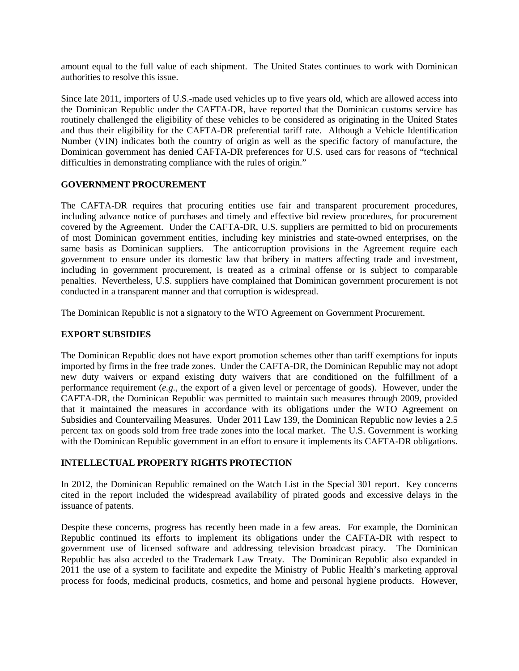amount equal to the full value of each shipment. The United States continues to work with Dominican authorities to resolve this issue.

Since late 2011, importers of U.S.-made used vehicles up to five years old, which are allowed access into the Dominican Republic under the CAFTA-DR, have reported that the Dominican customs service has routinely challenged the eligibility of these vehicles to be considered as originating in the United States and thus their eligibility for the CAFTA-DR preferential tariff rate. Although a Vehicle Identification Number (VIN) indicates both the country of origin as well as the specific factory of manufacture, the Dominican government has denied CAFTA-DR preferences for U.S. used cars for reasons of "technical difficulties in demonstrating compliance with the rules of origin."

# **GOVERNMENT PROCUREMENT**

The CAFTA-DR requires that procuring entities use fair and transparent procurement procedures, including advance notice of purchases and timely and effective bid review procedures, for procurement covered by the Agreement. Under the CAFTA-DR, U.S. suppliers are permitted to bid on procurements of most Dominican government entities, including key ministries and state-owned enterprises, on the same basis as Dominican suppliers. The anticorruption provisions in the Agreement require each government to ensure under its domestic law that bribery in matters affecting trade and investment, including in government procurement, is treated as a criminal offense or is subject to comparable penalties. Nevertheless, U.S. suppliers have complained that Dominican government procurement is not conducted in a transparent manner and that corruption is widespread.

The Dominican Republic is not a signatory to the WTO Agreement on Government Procurement.

#### **EXPORT SUBSIDIES**

The Dominican Republic does not have export promotion schemes other than tariff exemptions for inputs imported by firms in the free trade zones. Under the CAFTA-DR, the Dominican Republic may not adopt new duty waivers or expand existing duty waivers that are conditioned on the fulfillment of a performance requirement (*e.g.*, the export of a given level or percentage of goods). However, under the CAFTA-DR, the Dominican Republic was permitted to maintain such measures through 2009, provided that it maintained the measures in accordance with its obligations under the WTO Agreement on Subsidies and Countervailing Measures. Under 2011 Law 139, the Dominican Republic now levies a 2.5 percent tax on goods sold from free trade zones into the local market. The U.S. Government is working with the Dominican Republic government in an effort to ensure it implements its CAFTA-DR obligations.

### **INTELLECTUAL PROPERTY RIGHTS PROTECTION**

In 2012, the Dominican Republic remained on the Watch List in the Special 301 report. Key concerns cited in the report included the widespread availability of pirated goods and excessive delays in the issuance of patents.

Despite these concerns, progress has recently been made in a few areas. For example, the Dominican Republic continued its efforts to implement its obligations under the CAFTA-DR with respect to government use of licensed software and addressing television broadcast piracy. The Dominican Republic has also acceded to the Trademark Law Treaty. The Dominican Republic also expanded in 2011 the use of a system to facilitate and expedite the Ministry of Public Health's marketing approval process for foods, medicinal products, cosmetics, and home and personal hygiene products. However,